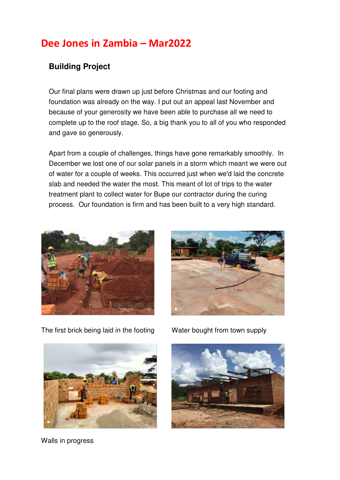## **Dee Jones in Zambia – Mar2022**

## **Building Project**

Our final plans were drawn up just before Christmas and our footing and foundation was already on the way. I put out an appeal last November and because of your generosity we have been able to purchase all we need to complete up to the roof stage. So, a big thank you to all of you who responded and gave so generously.

Apart from a couple of challenges, things have gone remarkably smoothly. In December we lost one of our solar panels in a storm which meant we were out of water for a couple of weeks. This occurred just when we'd laid the concrete slab and needed the water the most. This meant of lot of trips to the water treatment plant to collect water for Bupe our contractor during the curing process. Our foundation is firm and has been built to a very high standard.





The first brick being laid in the footing Water bought from town supply



Walls in progress

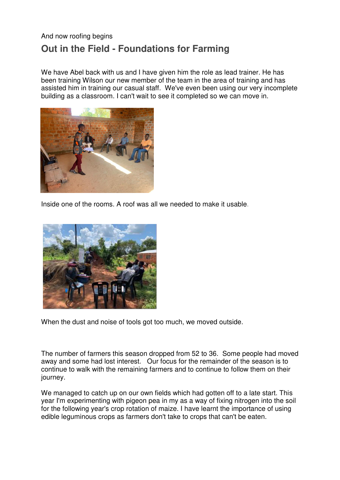## And now roofing begins **Out in the Field - Foundations for Farming**

We have Abel back with us and I have given him the role as lead trainer. He has been training Wilson our new member of the team in the area of training and has assisted him in training our casual staff. We've even been using our very incomplete building as a classroom. I can't wait to see it completed so we can move in.



Inside one of the rooms. A roof was all we needed to make it usable.



When the dust and noise of tools got too much, we moved outside.

The number of farmers this season dropped from 52 to 36. Some people had moved away and some had lost interest. Our focus for the remainder of the season is to continue to walk with the remaining farmers and to continue to follow them on their journey.

We managed to catch up on our own fields which had gotten off to a late start. This year I'm experimenting with pigeon pea in my as a way of fixing nitrogen into the soil for the following year's crop rotation of maize. I have learnt the importance of using edible leguminous crops as farmers don't take to crops that can't be eaten.